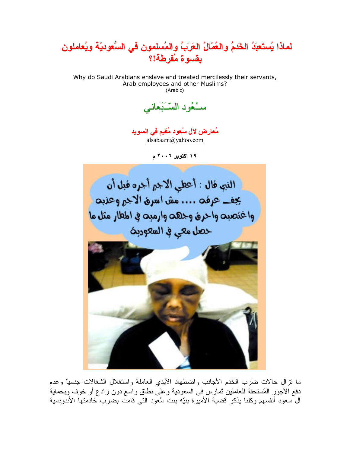

Why do Saudi Arabians enslave and treated mercilessly their servants, Arab employees and other Muslims? (Arabic)

سـُعُودِ السَّبَعاني

مُعارِض لآل سُعود مُقيم في السويد alsabaani@yahoo.com

١٩ اکتوبر ٢٠٠٦ م



ما نزال حالات ضَرَب الخَدم الأجانب واضطهاد الأيدي العاملة واستغلال الشغالات جنسيًا وعدم دفع الأجور المُستحقة للعاملين ثمارس في السعودية وعلى نطاق واسع دون رادع أو خوف وبحماية ٱلَّ سعود أنفسهم وكلنا بذكر قضية الأميرة بنيّه بنت سُعود التي قامتٌ بضرب ّخادمتها الأندونسية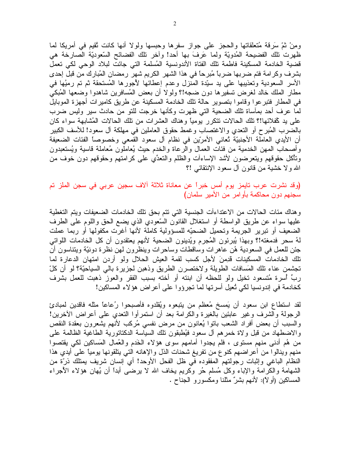ومِنْ ثُمَّ سَرِفَةً مُتعلَّقاتها والحجز على جواز سفرها وحبسها ولولا أنها كانت ثقيم في أمريكا لما ظهرت تلك الفضيحة المُدويّة ولما عَرفَ بها أحد! وأخر تلك الفضائح السّعوديّة الصارخة هي قضية الخادمة المسكينة فاطمة نلك الفتاة الأندونسية المُسلمة التي جائت لبلاد الوحي لكي تعمل بشرف وكرامة فتم ضربها ضرباً مُبرحاً في هذا الشهر الكريم شهر رمضان المُبارك من قبل إحدى الأسر السعودية وتعذيبها على يد سبَّدة المنزل وعدم إعطائها لأجورها المُستحقة ثم تم رميُها في مطار الملك خالد لغرض تسفيرها دون ضجه!؟ ولولا أن بعض المُسافرين شاهدوا وضعها المُبكى في المطار فتبر عوا وقاموا بتصوير حالة تلك الخادمة المسكينة عن طريق كاميرات أجهزة الموبايل لما عرف أحد بمأساة نلك الضحية التي ظهرت وكأنها خرجت للنو من حادث سير وليس ضرب على يد كلفلائها!؟ تلك الحالات نتكرر يوميًا وهناك العشرات من تلك الحالات المُشابهة سواء كان بالضرب المُبرح أو النَّعدي والاغتصاب وغمط حقوق العاملين في مهلكة آل سعود! للأسف الكبير أن الأيدي العاملة الأجنبيّة تُعانى الأمريّن في نظام آل سعود القمعي وخصوصاً الفئات الضعيفة وأصحاب المهن الخدمية من فئات العمال والرعاة والخدم حيث يُعاملون مُعاملة قاسية ويُستعبدون وتأكل حقوقهم ويتعرضون لأشد الإساءأت والظلم والتعدِّي علىي كرامتهم وحقوقهم دون خوف من الله ولا خشية من قانون أل سعود الإنتقائي !؟

(وقد نشرت عرب تايمز يوم أمس خبراً عن معاناة ثلاثة الاف سجين عربي في سجن الملز تم سجنهم دون محاكمة بأوامر من الأمير سلمان)

وهناك مئات الحالات من الاعتداءات الجنسية التي نتم بحق نلك الخادمات الضعيفات ويتم التغطية عليها سواء عن طريق الواسطة أو استغلال القانون السّعودي الذي يضع الحق واللوم على الطرف الضعيف أو نبرير الجريمة ونحميل الضحيّه للمسؤولية كاملة لأنها أغرت مكفولها أو ربما عملت لَّهُ سحرٍ فدمغته!؟ وبهذا يُبرئون المُجرِم ويُدينون الضحية لأنهم يعتقدون أن كل الخادمات اللواتي جئن للعمل في السعودية هُن عاهر ات وساقطات وساحرات وينظرون لهن نظرة دونيّة ويتناسون أن تلك الخادمات المسكينات قدِمنَ لأجل كسب لقمة العيش الحلال ولو أردن امتهان الدعارة لما تُجشَّمن عناء تلك المَسافات الطويلة ولاختصرن الطريق وذهبن لجزيرة بالبي السياحيَّة؟ لو أن كلَّ ربٍّ أسرة مُتسعود تخيل ولو للحظه أن ابنته أو أخته بسبب الفقر والعوز ذهبت للعمل بشرف كخادمة في إندونسيا لكي تُعيل أسرتها لما تجرؤوا على أعراض هؤلاء المساكين!

لقد استطاع ابن سعود أن يَمسخ مُعظم من ينبعوه ويُقلدوه فأصبحوا رُعاعاً مثله فاقدين لمبادئ الرجولة والشرف وغير عابئين بالغيرة والكرامة بعد أن استمر أوا التعدي على أعراض الأخرين! والسبب أن بعض أفراد الشعب باتوا يُعانون من مرض نفسي مُركب لأنهم بِشعرون بعقدة النقص والاضطهاد من قبل ولاة خمرهم أل سعود فيُطبقون نلك السياسة الدكتاتورية الطاغية الظالمة على من هُم أدنى منهم مستوى ، فلم يجدوا أمامهم سوى هؤلاء الْخَدم والْعُمال الْمَساكين لكي يقتصوا منهم وينالوا من أعراضهم كنوع من نفريغ شحنات الذل والإهانه التـي يتلقونـها بوميًّا علـي أيدي هذا النظام الباغي وإثبات رجولتهم المفقوده في ظل الفحل الأوحد! أي إنسان شريف يمتلك ذرَّة من الشهامة والكرامة والإباء وكل مُسلَّم حُرٍ وكريم يخاف الله لا يرضـي أبدًا أن يُهان هؤلاء الأجراء المساكين (أو لا): لأنهم بشرٌ مثلنا ومكسور و الجناح .